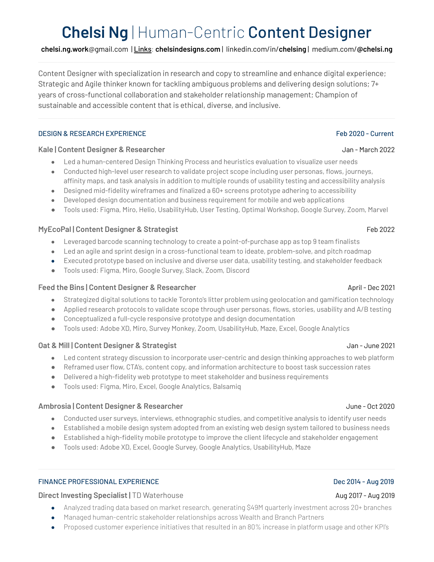# **Chelsi Ng** | Human-Centric Content Designer

**chelsi.ng.work**@gmail.com | Links: **[chelsindesigns.com](http://www.chelsindesigns.com)** | [linkedin.com/in/](http://www.linkedin.com/in/chelsing)**chelsing** | [medium.com/](https://medium.com/@chelsi.ng)**@chelsi.ng**

Content Designer with specialization in research and copy to streamline and enhance digital experience; Strategic and Agile thinker known for tackling ambiguous problems and delivering design solutions; 7+ years of cross-functional collaboration and stakeholder relationship management; Champion of sustainable and accessible content that is ethical, diverse, and inclusive.

### DESIGN & RESEARCH EXPERIENCE FED 2020 - Current

# **Kale | Content Designer & Researcher** Jan - March 2022

- Led a human-centered Design Thinking Process and heuristics evaluation to visualize user needs
- Conducted high-level user research to validate project scope including user personas, flows, journeys, affinity maps, and task analysis in addition to multiple rounds of usability testing and accessibility analysis
- Designed mid-fidelity wireframes and finalized a 60+ screens prototype adhering to accessibility
- Developed design documentation and business requirement for mobile and web applications
- Tools used: Figma, Miro, Helio, UsabilityHub, User Testing, Optimal Workshop, Google Survey, Zoom, Marvel

# **MyEcoPal | Content Designer & Strategist** Feb 2022

- Leveraged barcode scanning technology to create a point-of-purchase app as top 9 team finalists
- Led an agile and sprint design in a cross-functional team to ideate, problem-solve, and pitch roadmap
- Executed prototype based on inclusive and diverse user data, usability testing, and stakeholder feedback
- Tools used: Figma, Miro, Google Survey, Slack, Zoom, Discord

### **Feed the Bins | Content Designer & Researcher** April - Dec 2021

- Strategized digital solutions to tackle Toronto's litter problem using geolocation and gamification technology
- Applied research protocols to validate scope through user personas, flows, stories, usability and A/B testing
- Conceptualized a full-cycle responsive prototype and design documentation
- Tools used: Adobe XD, Miro, Survey Monkey, Zoom, UsabilityHub, Maze, Excel, Google Analytics

# **Oat & Mill | Content Designer & Strategist** Jan - June 2021

- Led content strategy discussion to incorporate user-centric and design thinking approaches to web platform
- Reframed user flow, CTA's, content copy, and information architecture to boost task succession rates
- Delivered a high-fidelity web prototype to meet stakeholder and business requirements
- Tools used: Figma, Miro, Excel, Google Analytics, Balsamiq

### **Ambrosia | Content Designer & Researcher** June - Oct 2020

- Conducted user surveys, interviews, ethnographic studies, and competitive analysis to identify user needs
- Established a mobile design system adopted from an existing web design system tailored to business needs
- Established a high-fidelity mobile prototype to improve the client lifecycle and stakeholder engagement
- Tools used: Adobe XD, Excel, Google Survey, Google Analytics, UsabilityHub, Maze

# FINANCE PROFESSIONAL EXPERIENCE Dec 2014 - Aug 2019

# **Direct Investing Specialist** | TD Waterhouse Aug 2017 - Aug 2019

- Analyzed trading data based on market research, generating \$49M quarterly investment across 20+ branches
- Managed human-centric stakeholder relationships across Wealth and Branch Partners
- Proposed customer experience initiatives that resulted in an 80% increase in platform usage and other KPI's